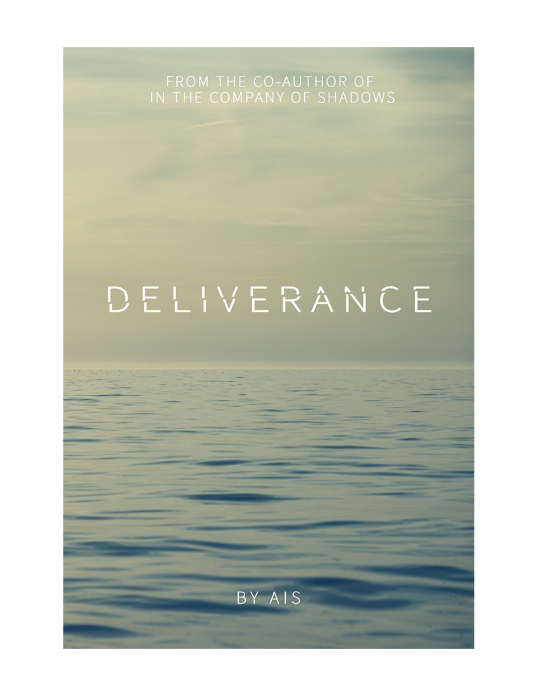FROM THE CO-AUTHOR OF<br>IN THE COMPANY OF SHADOWS

## DELIVERANCE

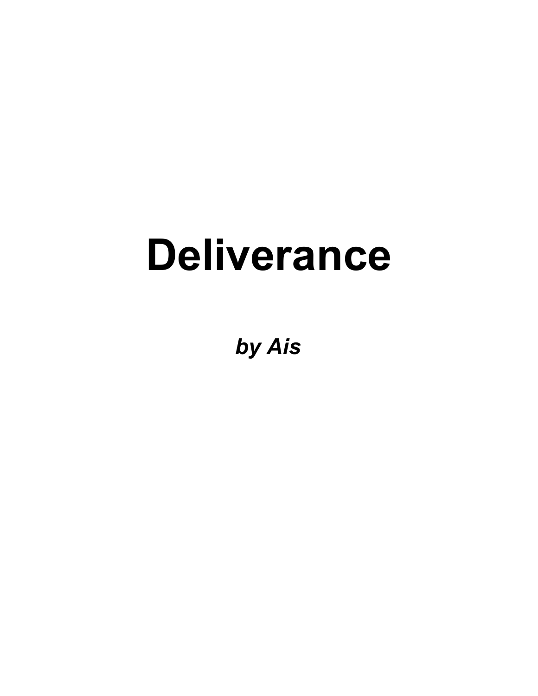# **Deliverance**

*by Ais*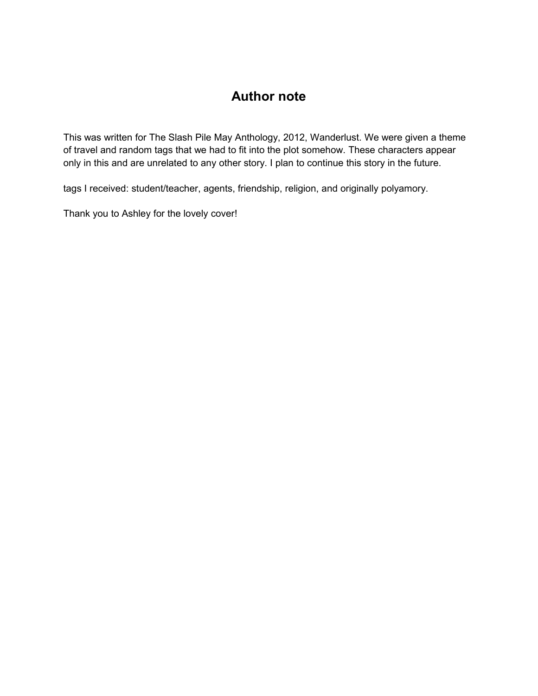### **Author note**

This was written for The Slash Pile May Anthology, 2012, Wanderlust. We were given a theme of travel and random tags that we had to fit into the plot somehow. These characters appear only in this and are unrelated to any other story. I plan to continue this story in the future.

tags I received: student/teacher, agents, friendship, religion, and originally polyamory.

Thank you to Ashley for the lovely cover!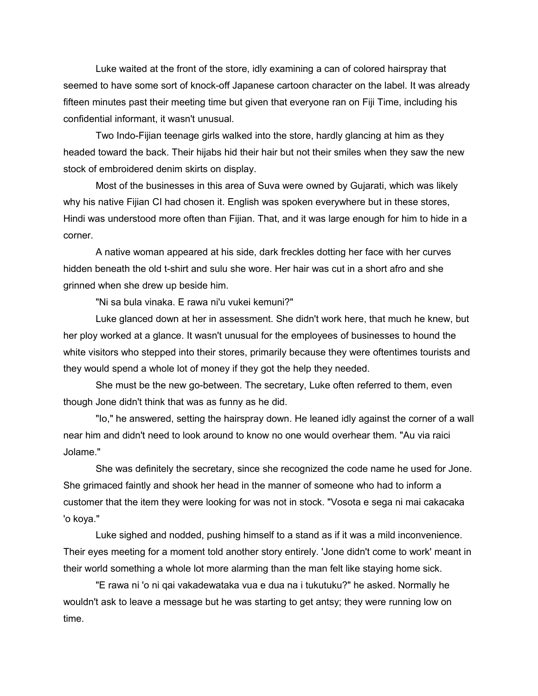Luke waited at the front of the store, idly examining a can of colored hairspray that seemed to have some sort of knock-off Japanese cartoon character on the label. It was already fifteen minutes past their meeting time but given that everyone ran on Fiji Time, including his confidential informant, it wasn't unusual.

Two Indo-Fijian teenage girls walked into the store, hardly glancing at him as they headed toward the back. Their hijabs hid their hair but not their smiles when they saw the new stock of embroidered denim skirts on display.

Most of the businesses in this area of Suva were owned by Gujarati, which was likely why his native Fijian CI had chosen it. English was spoken everywhere but in these stores, Hindi was understood more often than Fijian. That, and it was large enough for him to hide in a corner.

A native woman appeared at his side, dark freckles dotting her face with her curves hidden beneath the old t-shirt and sulu she wore. Her hair was cut in a short afro and she grinned when she drew up beside him.

"Ni sa bula vinaka. E rawa ni'u vukei kemuni?"

Luke glanced down at her in assessment. She didn't work here, that much he knew, but her ploy worked at a glance. It wasn't unusual for the employees of businesses to hound the white visitors who stepped into their stores, primarily because they were oftentimes tourists and they would spend a whole lot of money if they got the help they needed.

She must be the new go-between. The secretary, Luke often referred to them, even though Jone didn't think that was as funny as he did.

"Io," he answered, setting the hairspray down. He leaned idly against the corner of a wall near him and didn't need to look around to know no one would overhear them. "Au via raici Jolame."

She was definitely the secretary, since she recognized the code name he used for Jone. She grimaced faintly and shook her head in the manner of someone who had to inform a customer that the item they were looking for was not in stock. "Vosota e sega ni mai cakacaka 'o koya."

Luke sighed and nodded, pushing himself to a stand as if it was a mild inconvenience. Their eyes meeting for a moment told another story entirely. 'Jone didn't come to work' meant in their world something a whole lot more alarming than the man felt like staying home sick.

"E rawa ni 'o ni qai vakadewataka vua e dua na i tukutuku?" he asked. Normally he wouldn't ask to leave a message but he was starting to get antsy; they were running low on time.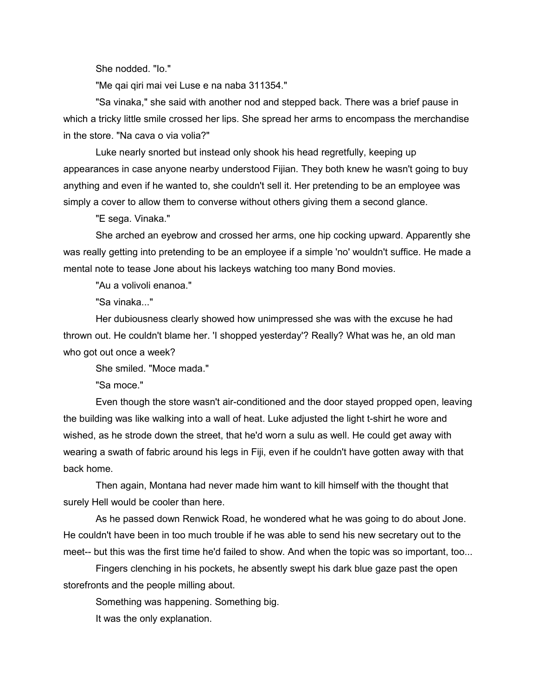She nodded. "Io."

"Me qai qiri mai vei Luse e na naba 311354."

"Sa vinaka," she said with another nod and stepped back. There was a brief pause in which a tricky little smile crossed her lips. She spread her arms to encompass the merchandise in the store. "Na cava o via volia?"

Luke nearly snorted but instead only shook his head regretfully, keeping up appearances in case anyone nearby understood Fijian. They both knew he wasn't going to buy anything and even if he wanted to, she couldn't sell it. Her pretending to be an employee was simply a cover to allow them to converse without others giving them a second glance.

"E sega. Vinaka."

She arched an eyebrow and crossed her arms, one hip cocking upward. Apparently she was really getting into pretending to be an employee if a simple 'no' wouldn't suffice. He made a mental note to tease Jone about his lackeys watching too many Bond movies.

"Au a volivoli enanoa."

"Sa vinaka..."

Her dubiousness clearly showed how unimpressed she was with the excuse he had thrown out. He couldn't blame her. 'I shopped yesterday'? Really? What was he, an old man who got out once a week?

She smiled. "Moce mada."

"Sa moce."

Even though the store wasn't air-conditioned and the door stayed propped open, leaving the building was like walking into a wall of heat. Luke adjusted the light t-shirt he wore and wished, as he strode down the street, that he'd worn a sulu as well. He could get away with wearing a swath of fabric around his legs in Fiji, even if he couldn't have gotten away with that back home.

Then again, Montana had never made him want to kill himself with the thought that surely Hell would be cooler than here.

As he passed down Renwick Road, he wondered what he was going to do about Jone. He couldn't have been in too much trouble if he was able to send his new secretary out to the meet-- but this was the first time he'd failed to show. And when the topic was so important, too...

Fingers clenching in his pockets, he absently swept his dark blue gaze past the open storefronts and the people milling about.

Something was happening. Something big.

It was the only explanation.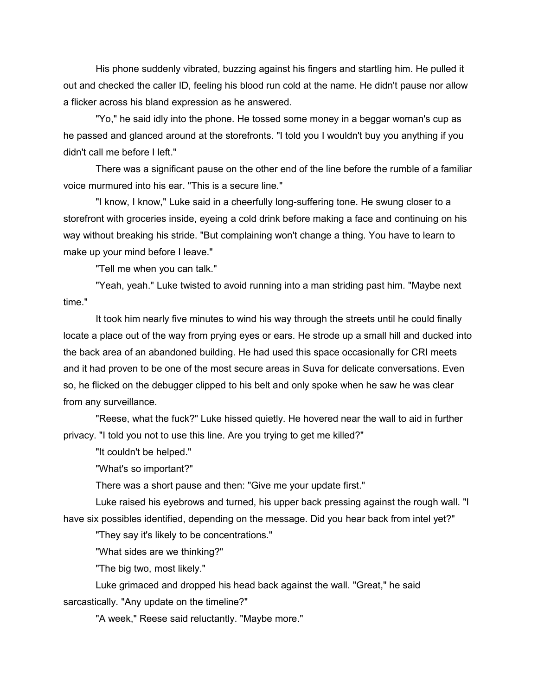His phone suddenly vibrated, buzzing against his fingers and startling him. He pulled it out and checked the caller ID, feeling his blood run cold at the name. He didn't pause nor allow a flicker across his bland expression as he answered.

"Yo," he said idly into the phone. He tossed some money in a beggar woman's cup as he passed and glanced around at the storefronts. "I told you I wouldn't buy you anything if you didn't call me before I left."

There was a significant pause on the other end of the line before the rumble of a familiar voice murmured into his ear. "This is a secure line."

"I know, I know," Luke said in a cheerfully long-suffering tone. He swung closer to a storefront with groceries inside, eyeing a cold drink before making a face and continuing on his way without breaking his stride. "But complaining won't change a thing. You have to learn to make up your mind before I leave."

"Tell me when you can talk."

"Yeah, yeah." Luke twisted to avoid running into a man striding past him. "Maybe next time."

It took him nearly five minutes to wind his way through the streets until he could finally locate a place out of the way from prying eyes or ears. He strode up a small hill and ducked into the back area of an abandoned building. He had used this space occasionally for CRI meets and it had proven to be one of the most secure areas in Suva for delicate conversations. Even so, he flicked on the debugger clipped to his belt and only spoke when he saw he was clear from any surveillance.

"Reese, what the fuck?" Luke hissed quietly. He hovered near the wall to aid in further privacy. "I told you not to use this line. Are you trying to get me killed?"

"It couldn't be helped."

"What's so important?"

There was a short pause and then: "Give me your update first."

Luke raised his eyebrows and turned, his upper back pressing against the rough wall. "I have six possibles identified, depending on the message. Did you hear back from intel yet?"

"They say it's likely to be concentrations."

"What sides are we thinking?"

"The big two, most likely."

Luke grimaced and dropped his head back against the wall. "Great," he said sarcastically. "Any update on the timeline?"

"A week," Reese said reluctantly. "Maybe more."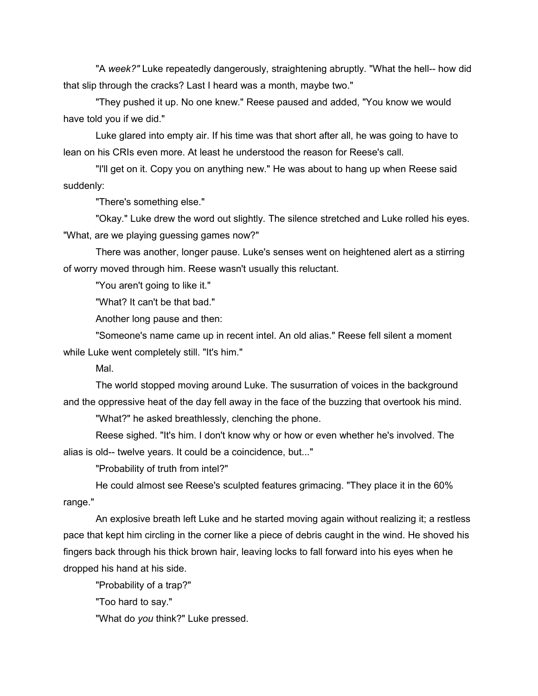"A *week?"* Luke repeatedly dangerously, straightening abruptly. "What the hell-- how did that slip through the cracks? Last I heard was a month, maybe two."

"They pushed it up. No one knew." Reese paused and added, "You know we would have told you if we did."

Luke glared into empty air. If his time was that short after all, he was going to have to lean on his CRIs even more. At least he understood the reason for Reese's call.

"I'll get on it. Copy you on anything new." He was about to hang up when Reese said suddenly:

"There's something else."

"Okay." Luke drew the word out slightly. The silence stretched and Luke rolled his eyes. "What, are we playing guessing games now?"

There was another, longer pause. Luke's senses went on heightened alert as a stirring of worry moved through him. Reese wasn't usually this reluctant.

"You aren't going to like it."

"What? It can't be that bad."

Another long pause and then:

"Someone's name came up in recent intel. An old alias." Reese fell silent a moment while Luke went completely still. "It's him."

Mal.

The world stopped moving around Luke. The susurration of voices in the background and the oppressive heat of the day fell away in the face of the buzzing that overtook his mind.

"What?" he asked breathlessly, clenching the phone.

Reese sighed. "It's him. I don't know why or how or even whether he's involved. The alias is old-- twelve years. It could be a coincidence, but..."

"Probability of truth from intel?"

He could almost see Reese's sculpted features grimacing. "They place it in the 60% range."

An explosive breath left Luke and he started moving again without realizing it; a restless pace that kept him circling in the corner like a piece of debris caught in the wind. He shoved his fingers back through his thick brown hair, leaving locks to fall forward into his eyes when he dropped his hand at his side.

"Probability of a trap?"

"Too hard to say."

"What do *you* think?" Luke pressed.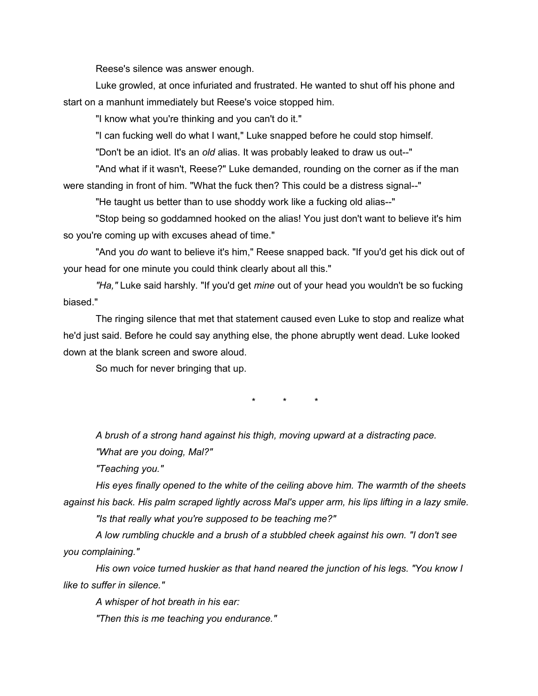Reese's silence was answer enough.

Luke growled, at once infuriated and frustrated. He wanted to shut off his phone and start on a manhunt immediately but Reese's voice stopped him.

"I know what you're thinking and you can't do it."

"I can fucking well do what I want," Luke snapped before he could stop himself.

"Don't be an idiot. It's an *old* alias. It was probably leaked to draw us out--"

"And what if it wasn't, Reese?" Luke demanded, rounding on the corner as if the man were standing in front of him. "What the fuck then? This could be a distress signal--"

"He taught us better than to use shoddy work like a fucking old alias--"

"Stop being so goddamned hooked on the alias! You just don't want to believe it's him so you're coming up with excuses ahead of time."

"And you *do* want to believe it's him," Reese snapped back. "If you'd get his dick out of your head for one minute you could think clearly about all this."

*"Ha,"* Luke said harshly. "If you'd get *mine* out of your head you wouldn't be so fucking biased."

The ringing silence that met that statement caused even Luke to stop and realize what he'd just said. Before he could say anything else, the phone abruptly went dead. Luke looked down at the blank screen and swore aloud.

So much for never bringing that up.

\* \* \*

*A brush of a strong hand against his thigh, moving upward at a distracting pace. "What are you doing, Mal?"*

*"Teaching you."*

*His eyes finally opened to the white of the ceiling above him. The warmth of the sheets against his back. His palm scraped lightly across Mal's upper arm, his lips lifting in a lazy smile.*

*"Is that really what you're supposed to be teaching me?"*

*A low rumbling chuckle and a brush of a stubbled cheek against his own. "I don't see you complaining."*

*His own voice turned huskier as that hand neared the junction of his legs. "You know I like to suffer in silence."*

*A whisper of hot breath in his ear:* 

*"Then this is me teaching you endurance."*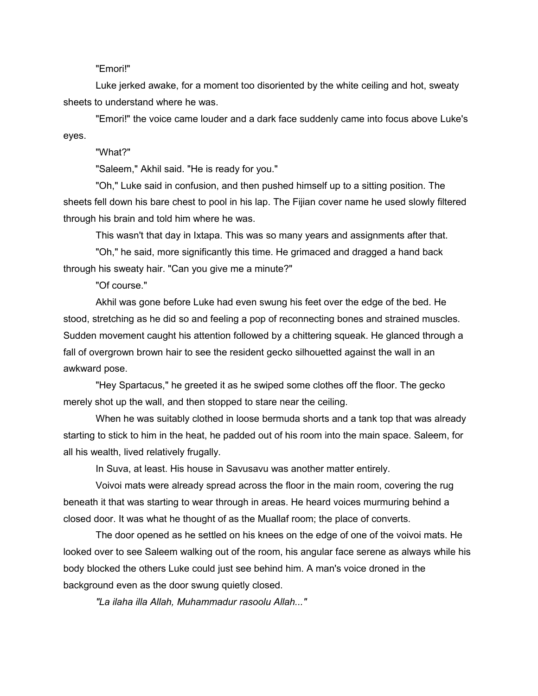#### "Emori!"

Luke jerked awake, for a moment too disoriented by the white ceiling and hot, sweaty sheets to understand where he was.

"Emori!" the voice came louder and a dark face suddenly came into focus above Luke's eyes.

#### "What?"

"Saleem," Akhil said. "He is ready for you."

"Oh," Luke said in confusion, and then pushed himself up to a sitting position. The sheets fell down his bare chest to pool in his lap. The Fijian cover name he used slowly filtered through his brain and told him where he was.

This wasn't that day in Ixtapa. This was so many years and assignments after that.

"Oh," he said, more significantly this time. He grimaced and dragged a hand back through his sweaty hair. "Can you give me a minute?"

"Of course."

Akhil was gone before Luke had even swung his feet over the edge of the bed. He stood, stretching as he did so and feeling a pop of reconnecting bones and strained muscles. Sudden movement caught his attention followed by a chittering squeak. He glanced through a fall of overgrown brown hair to see the resident gecko silhouetted against the wall in an awkward pose.

"Hey Spartacus," he greeted it as he swiped some clothes off the floor. The gecko merely shot up the wall, and then stopped to stare near the ceiling.

When he was suitably clothed in loose bermuda shorts and a tank top that was already starting to stick to him in the heat, he padded out of his room into the main space. Saleem, for all his wealth, lived relatively frugally.

In Suva, at least. His house in Savusavu was another matter entirely.

Voivoi mats were already spread across the floor in the main room, covering the rug beneath it that was starting to wear through in areas. He heard voices murmuring behind a closed door. It was what he thought of as the Muallaf room; the place of converts.

The door opened as he settled on his knees on the edge of one of the voivoi mats. He looked over to see Saleem walking out of the room, his angular face serene as always while his body blocked the others Luke could just see behind him. A man's voice droned in the background even as the door swung quietly closed.

*"La ilaha illa Allah, Muhammadur rasoolu Allah..."*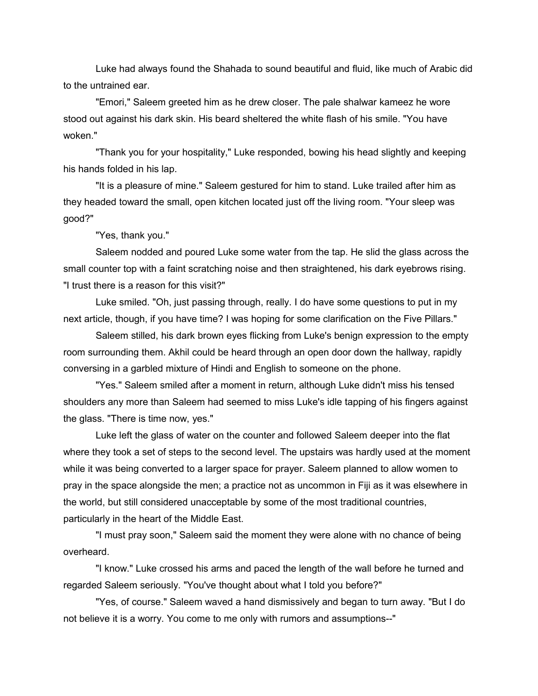Luke had always found the Shahada to sound beautiful and fluid, like much of Arabic did to the untrained ear.

"Emori," Saleem greeted him as he drew closer. The pale shalwar kameez he wore stood out against his dark skin. His beard sheltered the white flash of his smile. "You have woken."

"Thank you for your hospitality," Luke responded, bowing his head slightly and keeping his hands folded in his lap.

"It is a pleasure of mine." Saleem gestured for him to stand. Luke trailed after him as they headed toward the small, open kitchen located just off the living room. "Your sleep was good?"

"Yes, thank you."

Saleem nodded and poured Luke some water from the tap. He slid the glass across the small counter top with a faint scratching noise and then straightened, his dark eyebrows rising. "I trust there is a reason for this visit?"

Luke smiled. "Oh, just passing through, really. I do have some questions to put in my next article, though, if you have time? I was hoping for some clarification on the Five Pillars."

Saleem stilled, his dark brown eyes flicking from Luke's benign expression to the empty room surrounding them. Akhil could be heard through an open door down the hallway, rapidly conversing in a garbled mixture of Hindi and English to someone on the phone.

"Yes." Saleem smiled after a moment in return, although Luke didn't miss his tensed shoulders any more than Saleem had seemed to miss Luke's idle tapping of his fingers against the glass. "There is time now, yes."

Luke left the glass of water on the counter and followed Saleem deeper into the flat where they took a set of steps to the second level. The upstairs was hardly used at the moment while it was being converted to a larger space for prayer. Saleem planned to allow women to pray in the space alongside the men; a practice not as uncommon in Fiji as it was elsewhere in the world, but still considered unacceptable by some of the most traditional countries, particularly in the heart of the Middle East.

"I must pray soon," Saleem said the moment they were alone with no chance of being overheard.

"I know." Luke crossed his arms and paced the length of the wall before he turned and regarded Saleem seriously. "You've thought about what I told you before?"

"Yes, of course." Saleem waved a hand dismissively and began to turn away. "But I do not believe it is a worry. You come to me only with rumors and assumptions--"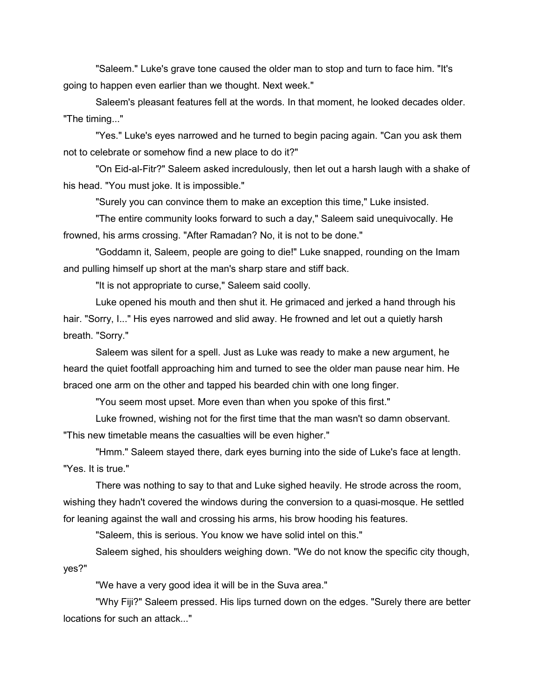"Saleem." Luke's grave tone caused the older man to stop and turn to face him. "It's going to happen even earlier than we thought. Next week."

Saleem's pleasant features fell at the words. In that moment, he looked decades older. "The timing..."

"Yes." Luke's eyes narrowed and he turned to begin pacing again. "Can you ask them not to celebrate or somehow find a new place to do it?"

"On Eid-al-Fitr?" Saleem asked incredulously, then let out a harsh laugh with a shake of his head. "You must joke. It is impossible."

"Surely you can convince them to make an exception this time," Luke insisted.

"The entire community looks forward to such a day," Saleem said unequivocally. He frowned, his arms crossing. "After Ramadan? No, it is not to be done."

"Goddamn it, Saleem, people are going to die!" Luke snapped, rounding on the Imam and pulling himself up short at the man's sharp stare and stiff back.

"It is not appropriate to curse," Saleem said coolly.

Luke opened his mouth and then shut it. He grimaced and jerked a hand through his hair. "Sorry, I..." His eyes narrowed and slid away. He frowned and let out a quietly harsh breath. "Sorry."

Saleem was silent for a spell. Just as Luke was ready to make a new argument, he heard the quiet footfall approaching him and turned to see the older man pause near him. He braced one arm on the other and tapped his bearded chin with one long finger.

"You seem most upset. More even than when you spoke of this first."

Luke frowned, wishing not for the first time that the man wasn't so damn observant. "This new timetable means the casualties will be even higher."

"Hmm." Saleem stayed there, dark eyes burning into the side of Luke's face at length. "Yes. It is true."

There was nothing to say to that and Luke sighed heavily. He strode across the room, wishing they hadn't covered the windows during the conversion to a quasi-mosque. He settled for leaning against the wall and crossing his arms, his brow hooding his features.

"Saleem, this is serious. You know we have solid intel on this."

Saleem sighed, his shoulders weighing down. "We do not know the specific city though, yes?"

"We have a very good idea it will be in the Suva area."

"Why Fiji?" Saleem pressed. His lips turned down on the edges. "Surely there are better locations for such an attack..."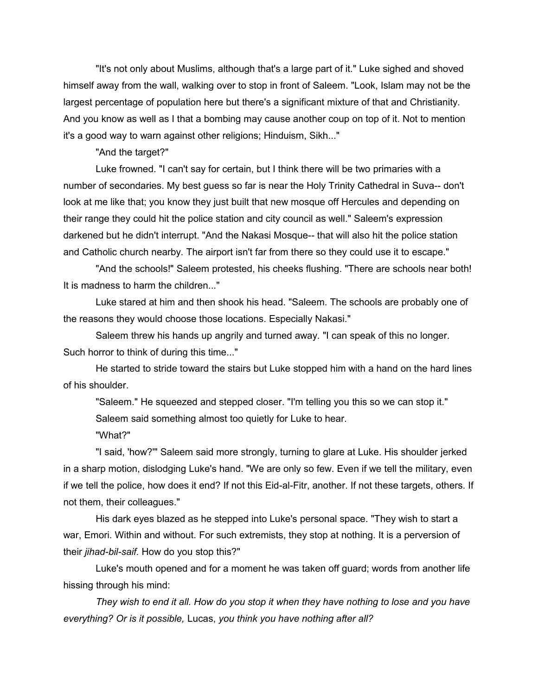"It's not only about Muslims, although that's a large part of it." Luke sighed and shoved himself away from the wall, walking over to stop in front of Saleem. "Look, Islam may not be the largest percentage of population here but there's a significant mixture of that and Christianity. And you know as well as I that a bombing may cause another coup on top of it. Not to mention it's a good way to warn against other religions; Hinduism, Sikh..."

"And the target?"

Luke frowned. "I can't say for certain, but I think there will be two primaries with a number of secondaries. My best guess so far is near the Holy Trinity Cathedral in Suva-- don't look at me like that; you know they just built that new mosque off Hercules and depending on their range they could hit the police station and city council as well." Saleem's expression darkened but he didn't interrupt. "And the Nakasi Mosque-- that will also hit the police station and Catholic church nearby. The airport isn't far from there so they could use it to escape."

"And the schools!" Saleem protested, his cheeks flushing. "There are schools near both! It is madness to harm the children..."

Luke stared at him and then shook his head. "Saleem. The schools are probably one of the reasons they would choose those locations. Especially Nakasi."

Saleem threw his hands up angrily and turned away. "I can speak of this no longer. Such horror to think of during this time..."

He started to stride toward the stairs but Luke stopped him with a hand on the hard lines of his shoulder.

"Saleem." He squeezed and stepped closer. "I'm telling you this so we can stop it." Saleem said something almost too quietly for Luke to hear.

"What?"

"I said, 'how?'" Saleem said more strongly, turning to glare at Luke. His shoulder jerked in a sharp motion, dislodging Luke's hand. "We are only so few. Even if we tell the military, even if we tell the police, how does it end? If not this Eid-al-Fitr, another. If not these targets, others. If not them, their colleagues."

His dark eyes blazed as he stepped into Luke's personal space. "They wish to start a war, Emori. Within and without. For such extremists, they stop at nothing. It is a perversion of their *jihad-bil-saif.* How do you stop this?"

Luke's mouth opened and for a moment he was taken off guard; words from another life hissing through his mind:

*They wish to end it all. How do you stop it when they have nothing to lose and you have everything? Or is it possible,* Lucas, *you think you have nothing after all?*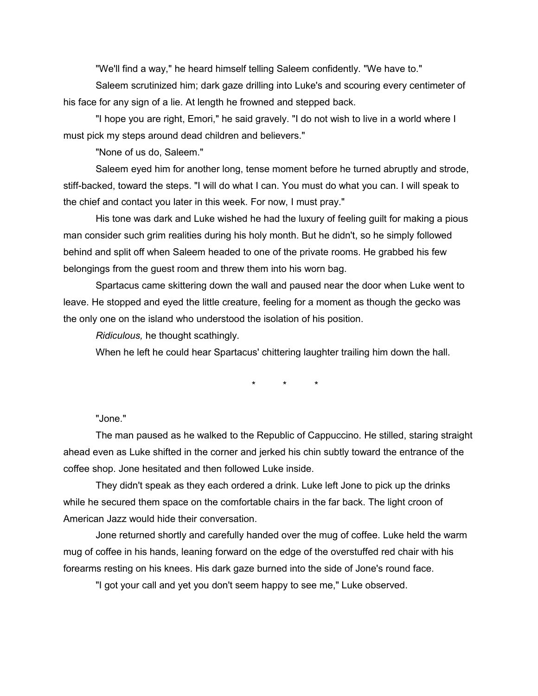"We'll find a way," he heard himself telling Saleem confidently. "We have to."

Saleem scrutinized him; dark gaze drilling into Luke's and scouring every centimeter of his face for any sign of a lie. At length he frowned and stepped back.

"I hope you are right, Emori," he said gravely. "I do not wish to live in a world where I must pick my steps around dead children and believers."

"None of us do, Saleem."

Saleem eyed him for another long, tense moment before he turned abruptly and strode, stiff-backed, toward the steps. "I will do what I can. You must do what you can. I will speak to the chief and contact you later in this week. For now, I must pray."

His tone was dark and Luke wished he had the luxury of feeling guilt for making a pious man consider such grim realities during his holy month. But he didn't, so he simply followed behind and split off when Saleem headed to one of the private rooms. He grabbed his few belongings from the guest room and threw them into his worn bag.

Spartacus came skittering down the wall and paused near the door when Luke went to leave. He stopped and eyed the little creature, feeling for a moment as though the gecko was the only one on the island who understood the isolation of his position.

*Ridiculous,* he thought scathingly.

When he left he could hear Spartacus' chittering laughter trailing him down the hall.

\* \* \*

#### "Jone."

The man paused as he walked to the Republic of Cappuccino. He stilled, staring straight ahead even as Luke shifted in the corner and jerked his chin subtly toward the entrance of the coffee shop. Jone hesitated and then followed Luke inside.

They didn't speak as they each ordered a drink. Luke left Jone to pick up the drinks while he secured them space on the comfortable chairs in the far back. The light croon of American Jazz would hide their conversation.

Jone returned shortly and carefully handed over the mug of coffee. Luke held the warm mug of coffee in his hands, leaning forward on the edge of the overstuffed red chair with his forearms resting on his knees. His dark gaze burned into the side of Jone's round face.

"I got your call and yet you don't seem happy to see me," Luke observed.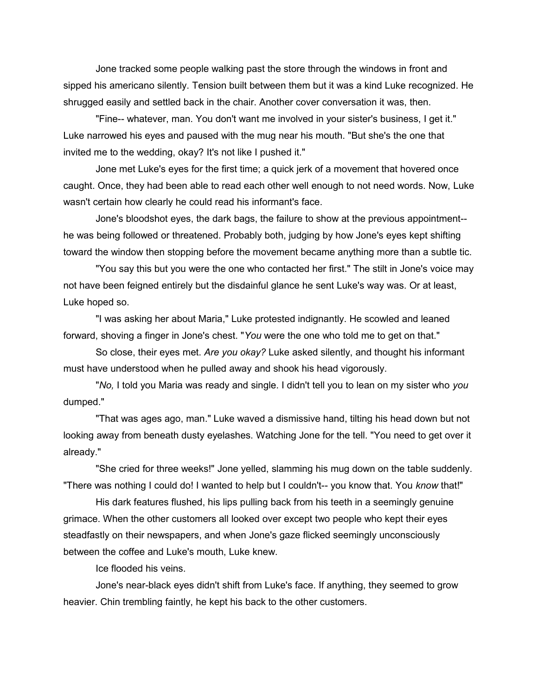Jone tracked some people walking past the store through the windows in front and sipped his americano silently. Tension built between them but it was a kind Luke recognized. He shrugged easily and settled back in the chair. Another cover conversation it was, then.

"Fine-- whatever, man. You don't want me involved in your sister's business, I get it." Luke narrowed his eyes and paused with the mug near his mouth. "But she's the one that invited me to the wedding, okay? It's not like I pushed it."

Jone met Luke's eyes for the first time; a quick jerk of a movement that hovered once caught. Once, they had been able to read each other well enough to not need words. Now, Luke wasn't certain how clearly he could read his informant's face.

Jone's bloodshot eyes, the dark bags, the failure to show at the previous appointment- he was being followed or threatened. Probably both, judging by how Jone's eyes kept shifting toward the window then stopping before the movement became anything more than a subtle tic.

"You say this but you were the one who contacted her first." The stilt in Jone's voice may not have been feigned entirely but the disdainful glance he sent Luke's way was. Or at least, Luke hoped so.

"I was asking her about Maria," Luke protested indignantly. He scowled and leaned forward, shoving a finger in Jone's chest. "*You* were the one who told me to get on that."

So close, their eyes met. *Are you okay?* Luke asked silently, and thought his informant must have understood when he pulled away and shook his head vigorously.

"*No,* I told you Maria was ready and single. I didn't tell you to lean on my sister who *you*  dumped."

"That was ages ago, man." Luke waved a dismissive hand, tilting his head down but not looking away from beneath dusty eyelashes. Watching Jone for the tell. "You need to get over it already."

"She cried for three weeks!" Jone yelled, slamming his mug down on the table suddenly. "There was nothing I could do! I wanted to help but I couldn't-- you know that. You *know* that!"

His dark features flushed, his lips pulling back from his teeth in a seemingly genuine grimace. When the other customers all looked over except two people who kept their eyes steadfastly on their newspapers, and when Jone's gaze flicked seemingly unconsciously between the coffee and Luke's mouth, Luke knew.

Ice flooded his veins.

Jone's near-black eyes didn't shift from Luke's face. If anything, they seemed to grow heavier. Chin trembling faintly, he kept his back to the other customers.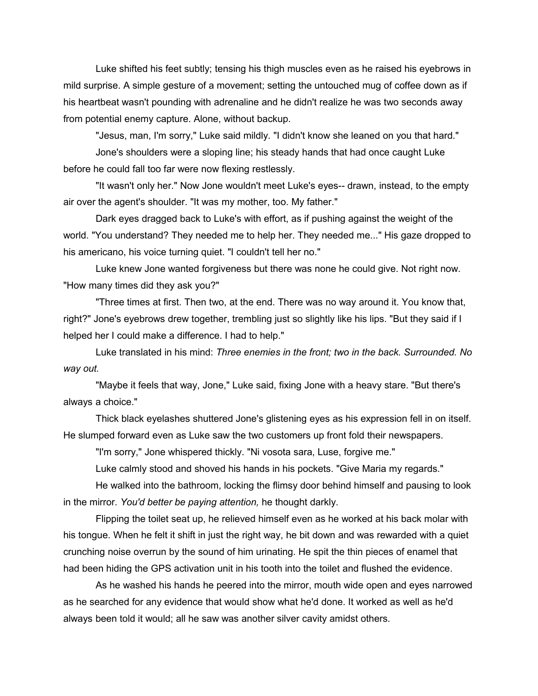Luke shifted his feet subtly; tensing his thigh muscles even as he raised his eyebrows in mild surprise. A simple gesture of a movement; setting the untouched mug of coffee down as if his heartbeat wasn't pounding with adrenaline and he didn't realize he was two seconds away from potential enemy capture. Alone, without backup.

"Jesus, man, I'm sorry," Luke said mildly. "I didn't know she leaned on you that hard."

Jone's shoulders were a sloping line; his steady hands that had once caught Luke before he could fall too far were now flexing restlessly.

"It wasn't only her." Now Jone wouldn't meet Luke's eyes-- drawn, instead, to the empty air over the agent's shoulder. "It was my mother, too. My father."

Dark eyes dragged back to Luke's with effort, as if pushing against the weight of the world. "You understand? They needed me to help her. They needed me..." His gaze dropped to his americano, his voice turning quiet. "I couldn't tell her no."

Luke knew Jone wanted forgiveness but there was none he could give. Not right now. "How many times did they ask you?"

"Three times at first. Then two, at the end. There was no way around it. You know that, right?" Jone's eyebrows drew together, trembling just so slightly like his lips. "But they said if I helped her I could make a difference. I had to help."

Luke translated in his mind: *Three enemies in the front; two in the back. Surrounded. No way out.*

"Maybe it feels that way, Jone," Luke said, fixing Jone with a heavy stare. "But there's always a choice."

Thick black eyelashes shuttered Jone's glistening eyes as his expression fell in on itself. He slumped forward even as Luke saw the two customers up front fold their newspapers.

"I'm sorry," Jone whispered thickly. "Ni vosota sara, Luse, forgive me."

Luke calmly stood and shoved his hands in his pockets. "Give Maria my regards."

He walked into the bathroom, locking the flimsy door behind himself and pausing to look in the mirror. *You'd better be paying attention,* he thought darkly.

Flipping the toilet seat up, he relieved himself even as he worked at his back molar with his tongue. When he felt it shift in just the right way, he bit down and was rewarded with a quiet crunching noise overrun by the sound of him urinating. He spit the thin pieces of enamel that had been hiding the GPS activation unit in his tooth into the toilet and flushed the evidence.

As he washed his hands he peered into the mirror, mouth wide open and eyes narrowed as he searched for any evidence that would show what he'd done. It worked as well as he'd always been told it would; all he saw was another silver cavity amidst others.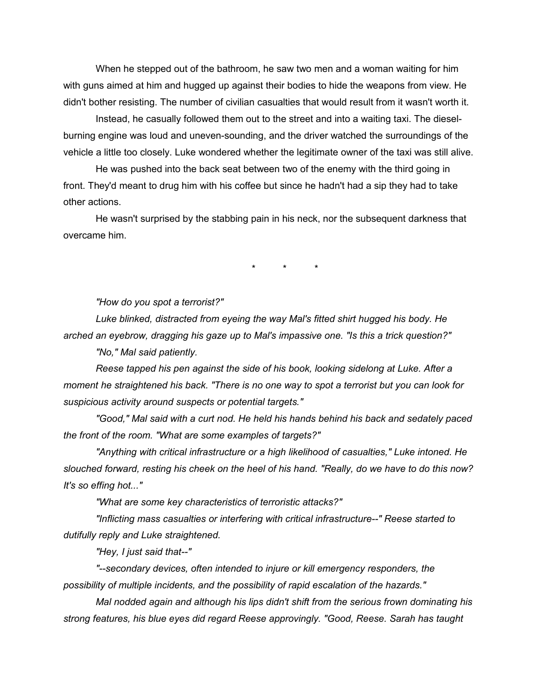When he stepped out of the bathroom, he saw two men and a woman waiting for him with guns aimed at him and hugged up against their bodies to hide the weapons from view. He didn't bother resisting. The number of civilian casualties that would result from it wasn't worth it.

Instead, he casually followed them out to the street and into a waiting taxi. The dieselburning engine was loud and uneven-sounding, and the driver watched the surroundings of the vehicle a little too closely. Luke wondered whether the legitimate owner of the taxi was still alive.

He was pushed into the back seat between two of the enemy with the third going in front. They'd meant to drug him with his coffee but since he hadn't had a sip they had to take other actions.

He wasn't surprised by the stabbing pain in his neck, nor the subsequent darkness that overcame him.

\* \* \*

*"How do you spot a terrorist?"*

*Luke blinked, distracted from eyeing the way Mal's fitted shirt hugged his body. He arched an eyebrow, dragging his gaze up to Mal's impassive one. "Is this a trick question?" "No," Mal said patiently.*

*Reese tapped his pen against the side of his book, looking sidelong at Luke. After a moment he straightened his back. "There is no one way to spot a terrorist but you can look for suspicious activity around suspects or potential targets."*

*"Good," Mal said with a curt nod. He held his hands behind his back and sedately paced the front of the room. "What are some examples of targets?"*

*"Anything with critical infrastructure or a high likelihood of casualties," Luke intoned. He slouched forward, resting his cheek on the heel of his hand. "Really, do we have to do this now? It's so effing hot..."*

*"What are some key characteristics of terroristic attacks?"*

*"Inflicting mass casualties or interfering with critical infrastructure--" Reese started to dutifully reply and Luke straightened.*

*"Hey, I just said that--"*

*"--secondary devices, often intended to injure or kill emergency responders, the possibility of multiple incidents, and the possibility of rapid escalation of the hazards."*

*Mal nodded again and although his lips didn't shift from the serious frown dominating his strong features, his blue eyes did regard Reese approvingly. "Good, Reese. Sarah has taught*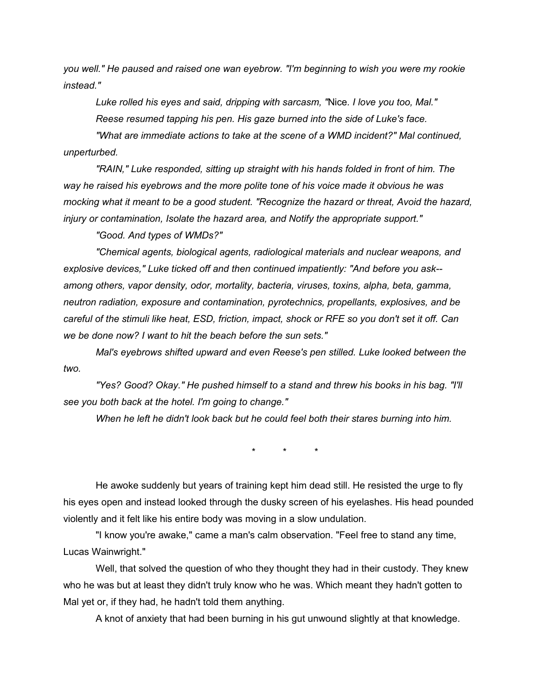*you well." He paused and raised one wan eyebrow. "I'm beginning to wish you were my rookie instead."*

*Luke rolled his eyes and said, dripping with sarcasm, "*Nice*. I love you too, Mal." Reese resumed tapping his pen. His gaze burned into the side of Luke's face.*

*"What are immediate actions to take at the scene of a WMD incident?" Mal continued, unperturbed.*

*"RAIN," Luke responded, sitting up straight with his hands folded in front of him. The way he raised his eyebrows and the more polite tone of his voice made it obvious he was mocking what it meant to be a good student. "Recognize the hazard or threat, Avoid the hazard, injury or contamination, Isolate the hazard area, and Notify the appropriate support."*

*"Good. And types of WMDs?"*

*"Chemical agents, biological agents, radiological materials and nuclear weapons, and explosive devices," Luke ticked off and then continued impatiently: "And before you ask- among others, vapor density, odor, mortality, bacteria, viruses, toxins, alpha, beta, gamma, neutron radiation, exposure and contamination, pyrotechnics, propellants, explosives, and be careful of the stimuli like heat, ESD, friction, impact, shock or RFE so you don't set it off. Can we be done now? I want to hit the beach before the sun sets."*

*Mal's eyebrows shifted upward and even Reese's pen stilled. Luke looked between the two.* 

*"Yes? Good? Okay." He pushed himself to a stand and threw his books in his bag. "I'll see you both back at the hotel. I'm going to change."*

*When he left he didn't look back but he could feel both their stares burning into him.*

\* \* \*

He awoke suddenly but years of training kept him dead still. He resisted the urge to fly his eyes open and instead looked through the dusky screen of his eyelashes. His head pounded violently and it felt like his entire body was moving in a slow undulation.

"I know you're awake," came a man's calm observation. "Feel free to stand any time, Lucas Wainwright."

Well, that solved the question of who they thought they had in their custody. They knew who he was but at least they didn't truly know who he was. Which meant they hadn't gotten to Mal yet or, if they had, he hadn't told them anything.

A knot of anxiety that had been burning in his gut unwound slightly at that knowledge.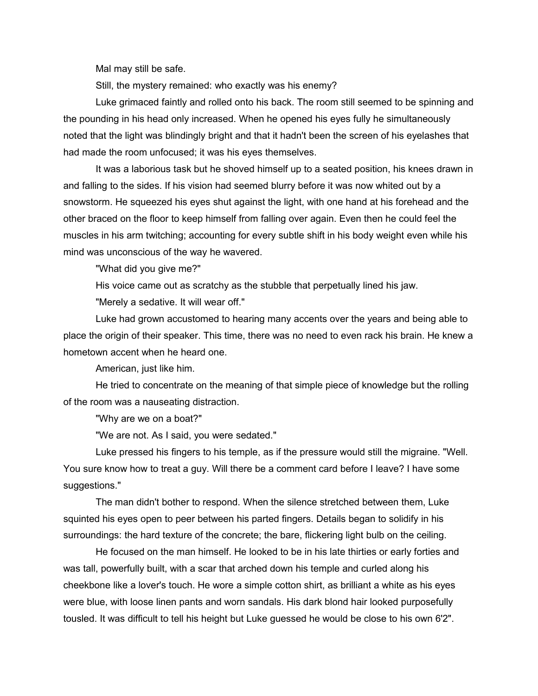Mal may still be safe.

Still, the mystery remained: who exactly was his enemy?

Luke grimaced faintly and rolled onto his back. The room still seemed to be spinning and the pounding in his head only increased. When he opened his eyes fully he simultaneously noted that the light was blindingly bright and that it hadn't been the screen of his eyelashes that had made the room unfocused; it was his eyes themselves.

It was a laborious task but he shoved himself up to a seated position, his knees drawn in and falling to the sides. If his vision had seemed blurry before it was now whited out by a snowstorm. He squeezed his eyes shut against the light, with one hand at his forehead and the other braced on the floor to keep himself from falling over again. Even then he could feel the muscles in his arm twitching; accounting for every subtle shift in his body weight even while his mind was unconscious of the way he wavered.

"What did you give me?"

His voice came out as scratchy as the stubble that perpetually lined his jaw.

"Merely a sedative. It will wear off."

Luke had grown accustomed to hearing many accents over the years and being able to place the origin of their speaker. This time, there was no need to even rack his brain. He knew a hometown accent when he heard one.

American, just like him.

He tried to concentrate on the meaning of that simple piece of knowledge but the rolling of the room was a nauseating distraction.

"Why are we on a boat?"

"We are not. As I said, you were sedated."

Luke pressed his fingers to his temple, as if the pressure would still the migraine. "Well. You sure know how to treat a guy. Will there be a comment card before I leave? I have some suggestions."

The man didn't bother to respond. When the silence stretched between them, Luke squinted his eyes open to peer between his parted fingers. Details began to solidify in his surroundings: the hard texture of the concrete; the bare, flickering light bulb on the ceiling.

He focused on the man himself. He looked to be in his late thirties or early forties and was tall, powerfully built, with a scar that arched down his temple and curled along his cheekbone like a lover's touch. He wore a simple cotton shirt, as brilliant a white as his eyes were blue, with loose linen pants and worn sandals. His dark blond hair looked purposefully tousled. It was difficult to tell his height but Luke guessed he would be close to his own 6'2".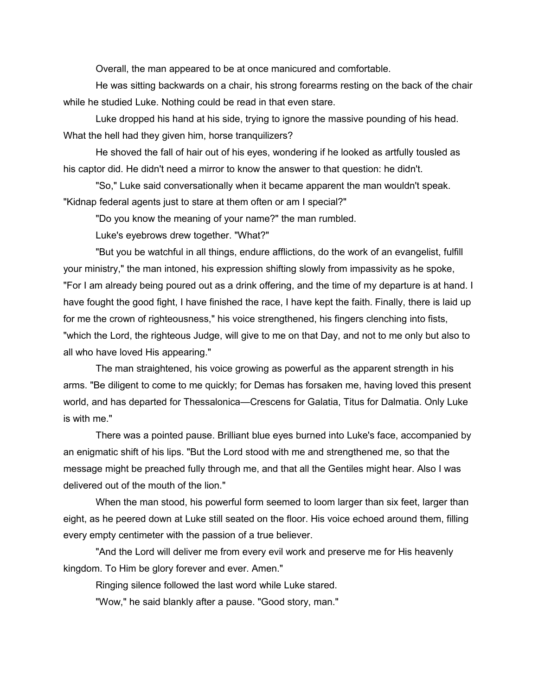Overall, the man appeared to be at once manicured and comfortable.

He was sitting backwards on a chair, his strong forearms resting on the back of the chair while he studied Luke. Nothing could be read in that even stare.

Luke dropped his hand at his side, trying to ignore the massive pounding of his head. What the hell had they given him, horse tranquilizers?

He shoved the fall of hair out of his eyes, wondering if he looked as artfully tousled as his captor did. He didn't need a mirror to know the answer to that question: he didn't.

"So," Luke said conversationally when it became apparent the man wouldn't speak. "Kidnap federal agents just to stare at them often or am I special?"

"Do you know the meaning of your name?" the man rumbled.

Luke's eyebrows drew together. "What?"

"But you be watchful in all things, endure afflictions, do the work of an evangelist, fulfill your ministry," the man intoned, his expression shifting slowly from impassivity as he spoke, "For I am already being poured out as a drink offering, and the time of my departure is at hand. I have fought the good fight, I have finished the race, I have kept the faith. Finally, there is laid up for me the crown of righteousness," his voice strengthened, his fingers clenching into fists, "which the Lord, the righteous Judge, will give to me on that Day, and not to me only but also to all who have loved His appearing."

The man straightened, his voice growing as powerful as the apparent strength in his arms. "Be diligent to come to me quickly; for Demas has forsaken me, having loved this present world, and has departed for Thessalonica—Crescens for Galatia, Titus for Dalmatia. Only Luke is with me."

There was a pointed pause. Brilliant blue eyes burned into Luke's face, accompanied by an enigmatic shift of his lips. "But the Lord stood with me and strengthened me, so that the message might be preached fully through me, and that all the Gentiles might hear. Also I was delivered out of the mouth of the lion."

When the man stood, his powerful form seemed to loom larger than six feet, larger than eight, as he peered down at Luke still seated on the floor. His voice echoed around them, filling every empty centimeter with the passion of a true believer.

"And the Lord will deliver me from every evil work and preserve me for His heavenly kingdom. To Him be glory forever and ever. Amen."

Ringing silence followed the last word while Luke stared.

"Wow," he said blankly after a pause. "Good story, man."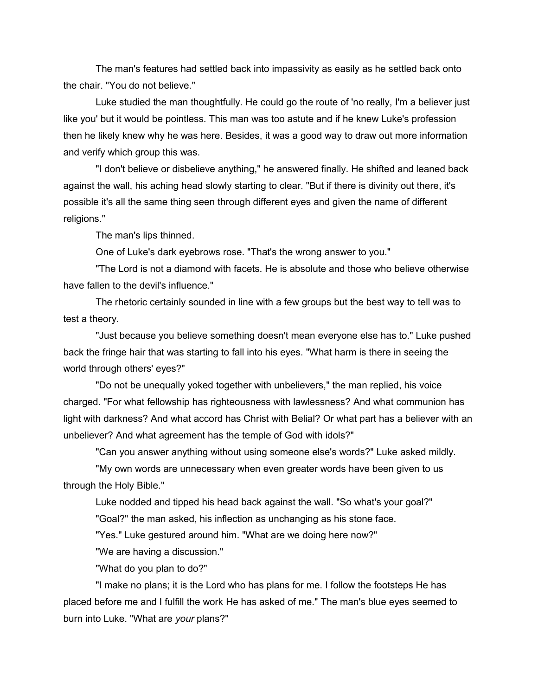The man's features had settled back into impassivity as easily as he settled back onto the chair. "You do not believe."

Luke studied the man thoughtfully. He could go the route of 'no really, I'm a believer just like you' but it would be pointless. This man was too astute and if he knew Luke's profession then he likely knew why he was here. Besides, it was a good way to draw out more information and verify which group this was.

"I don't believe or disbelieve anything," he answered finally. He shifted and leaned back against the wall, his aching head slowly starting to clear. "But if there is divinity out there, it's possible it's all the same thing seen through different eyes and given the name of different religions."

The man's lips thinned.

One of Luke's dark eyebrows rose. "That's the wrong answer to you."

"The Lord is not a diamond with facets. He is absolute and those who believe otherwise have fallen to the devil's influence."

The rhetoric certainly sounded in line with a few groups but the best way to tell was to test a theory.

"Just because you believe something doesn't mean everyone else has to." Luke pushed back the fringe hair that was starting to fall into his eyes. "What harm is there in seeing the world through others' eyes?"

"Do not be unequally yoked together with unbelievers," the man replied, his voice charged. "For what fellowship has righteousness with lawlessness? And what communion has light with darkness? And what accord has Christ with Belial? Or what part has a believer with an unbeliever? And what agreement has the temple of God with idols?"

"Can you answer anything without using someone else's words?" Luke asked mildly.

"My own words are unnecessary when even greater words have been given to us through the Holy Bible."

Luke nodded and tipped his head back against the wall. "So what's your goal?"

"Goal?" the man asked, his inflection as unchanging as his stone face.

"Yes." Luke gestured around him. "What are we doing here now?"

"We are having a discussion."

"What do you plan to do?"

"I make no plans; it is the Lord who has plans for me. I follow the footsteps He has placed before me and I fulfill the work He has asked of me." The man's blue eyes seemed to burn into Luke. "What are *your* plans?"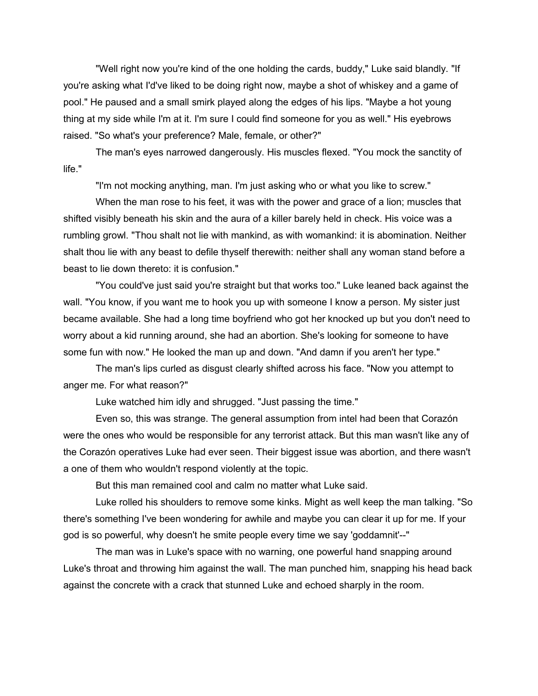"Well right now you're kind of the one holding the cards, buddy," Luke said blandly. "If you're asking what I'd've liked to be doing right now, maybe a shot of whiskey and a game of pool." He paused and a small smirk played along the edges of his lips. "Maybe a hot young thing at my side while I'm at it. I'm sure I could find someone for you as well." His eyebrows raised. "So what's your preference? Male, female, or other?"

The man's eyes narrowed dangerously. His muscles flexed. "You mock the sanctity of life."

"I'm not mocking anything, man. I'm just asking who or what you like to screw."

When the man rose to his feet, it was with the power and grace of a lion; muscles that shifted visibly beneath his skin and the aura of a killer barely held in check. His voice was a rumbling growl. "Thou shalt not lie with mankind, as with womankind: it is abomination. Neither shalt thou lie with any beast to defile thyself therewith: neither shall any woman stand before a beast to lie down thereto: it is confusion."

"You could've just said you're straight but that works too." Luke leaned back against the wall. "You know, if you want me to hook you up with someone I know a person. My sister just became available. She had a long time boyfriend who got her knocked up but you don't need to worry about a kid running around, she had an abortion. She's looking for someone to have some fun with now." He looked the man up and down. "And damn if you aren't her type."

The man's lips curled as disgust clearly shifted across his face. "Now you attempt to anger me. For what reason?"

Luke watched him idly and shrugged. "Just passing the time."

Even so, this was strange. The general assumption from intel had been that Corazón were the ones who would be responsible for any terrorist attack. But this man wasn't like any of the Corazón operatives Luke had ever seen. Their biggest issue was abortion, and there wasn't a one of them who wouldn't respond violently at the topic.

But this man remained cool and calm no matter what Luke said.

Luke rolled his shoulders to remove some kinks. Might as well keep the man talking. "So there's something I've been wondering for awhile and maybe you can clear it up for me. If your god is so powerful, why doesn't he smite people every time we say 'goddamnit'--"

The man was in Luke's space with no warning, one powerful hand snapping around Luke's throat and throwing him against the wall. The man punched him, snapping his head back against the concrete with a crack that stunned Luke and echoed sharply in the room.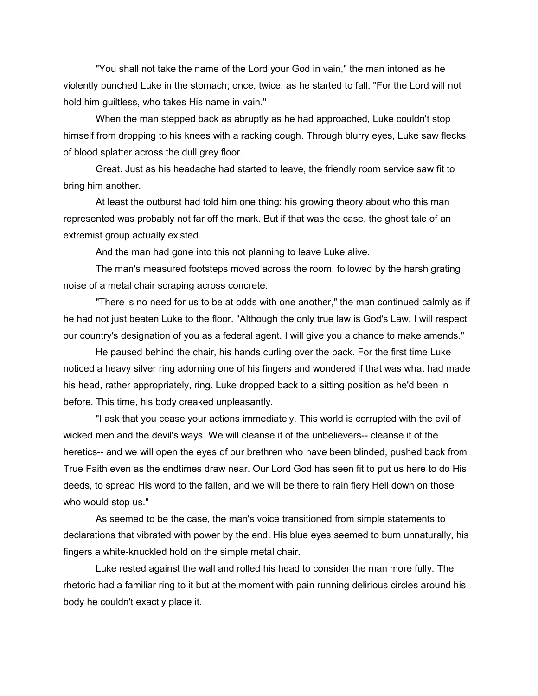"You shall not take the name of the Lord your God in vain," the man intoned as he violently punched Luke in the stomach; once, twice, as he started to fall. "For the Lord will not hold him guiltless, who takes His name in vain."

When the man stepped back as abruptly as he had approached, Luke couldn't stop himself from dropping to his knees with a racking cough. Through blurry eyes, Luke saw flecks of blood splatter across the dull grey floor.

Great. Just as his headache had started to leave, the friendly room service saw fit to bring him another.

At least the outburst had told him one thing: his growing theory about who this man represented was probably not far off the mark. But if that was the case, the ghost tale of an extremist group actually existed.

And the man had gone into this not planning to leave Luke alive.

The man's measured footsteps moved across the room, followed by the harsh grating noise of a metal chair scraping across concrete.

"There is no need for us to be at odds with one another," the man continued calmly as if he had not just beaten Luke to the floor. "Although the only true law is God's Law, I will respect our country's designation of you as a federal agent. I will give you a chance to make amends."

He paused behind the chair, his hands curling over the back. For the first time Luke noticed a heavy silver ring adorning one of his fingers and wondered if that was what had made his head, rather appropriately, ring. Luke dropped back to a sitting position as he'd been in before. This time, his body creaked unpleasantly.

"I ask that you cease your actions immediately. This world is corrupted with the evil of wicked men and the devil's ways. We will cleanse it of the unbelievers-- cleanse it of the heretics-- and we will open the eyes of our brethren who have been blinded, pushed back from True Faith even as the endtimes draw near. Our Lord God has seen fit to put us here to do His deeds, to spread His word to the fallen, and we will be there to rain fiery Hell down on those who would stop us."

As seemed to be the case, the man's voice transitioned from simple statements to declarations that vibrated with power by the end. His blue eyes seemed to burn unnaturally, his fingers a white-knuckled hold on the simple metal chair.

Luke rested against the wall and rolled his head to consider the man more fully. The rhetoric had a familiar ring to it but at the moment with pain running delirious circles around his body he couldn't exactly place it.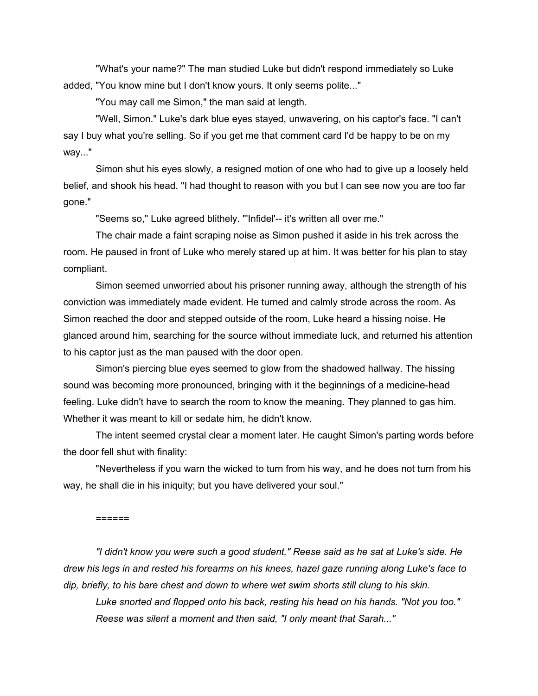"What's your name?" The man studied Luke but didn't respond immediately so Luke added, "You know mine but I don't know yours. It only seems polite..."

"You may call me Simon," the man said at length.

"Well, Simon." Luke's dark blue eyes stayed, unwavering, on his captor's face. "I can't say I buy what you're selling. So if you get me that comment card I'd be happy to be on my way..."

Simon shut his eyes slowly, a resigned motion of one who had to give up a loosely held belief, and shook his head. "I had thought to reason with you but I can see now you are too far gone."

"Seems so," Luke agreed blithely. "'Infidel'-- it's written all over me."

The chair made a faint scraping noise as Simon pushed it aside in his trek across the room. He paused in front of Luke who merely stared up at him. It was better for his plan to stay compliant.

Simon seemed unworried about his prisoner running away, although the strength of his conviction was immediately made evident. He turned and calmly strode across the room. As Simon reached the door and stepped outside of the room, Luke heard a hissing noise. He glanced around him, searching for the source without immediate luck, and returned his attention to his captor just as the man paused with the door open.

Simon's piercing blue eyes seemed to glow from the shadowed hallway. The hissing sound was becoming more pronounced, bringing with it the beginnings of a medicine-head feeling. Luke didn't have to search the room to know the meaning. They planned to gas him. Whether it was meant to kill or sedate him, he didn't know.

The intent seemed crystal clear a moment later. He caught Simon's parting words before the door fell shut with finality:

"Nevertheless if you warn the wicked to turn from his way, and he does not turn from his way, he shall die in his iniquity; but you have delivered your soul."

======

*"I didn't know you were such a good student," Reese said as he sat at Luke's side. He drew his legs in and rested his forearms on his knees, hazel gaze running along Luke's face to dip, briefly, to his bare chest and down to where wet swim shorts still clung to his skin.* 

*Luke snorted and flopped onto his back, resting his head on his hands. "Not you too." Reese was silent a moment and then said, "I only meant that Sarah..."*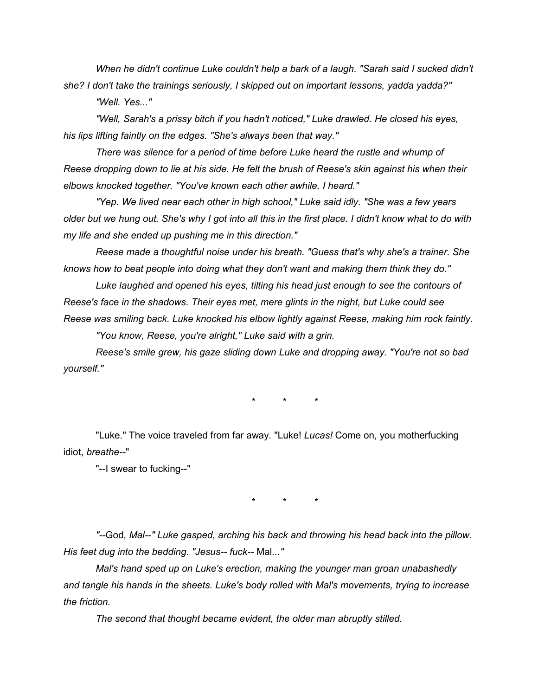*When he didn't continue Luke couldn't help a bark of a laugh. "Sarah said I sucked didn't she? I don't take the trainings seriously, I skipped out on important lessons, yadda yadda?" "Well. Yes..."*

*"Well, Sarah's a prissy bitch if you hadn't noticed," Luke drawled. He closed his eyes, his lips lifting faintly on the edges. "She's always been that way."*

*There was silence for a period of time before Luke heard the rustle and whump of Reese dropping down to lie at his side. He felt the brush of Reese's skin against his when their elbows knocked together. "You've known each other awhile, I heard."*

*"Yep. We lived near each other in high school," Luke said idly. "She was a few years older but we hung out. She's why I got into all this in the first place. I didn't know what to do with my life and she ended up pushing me in this direction."*

*Reese made a thoughtful noise under his breath. "Guess that's why she's a trainer. She knows how to beat people into doing what they don't want and making them think they do."*

*Luke laughed and opened his eyes, tilting his head just enough to see the contours of Reese's face in the shadows. Their eyes met, mere glints in the night, but Luke could see Reese was smiling back. Luke knocked his elbow lightly against Reese, making him rock faintly.*

*"You know, Reese, you're alright," Luke said with a grin.*

*Reese's smile grew, his gaze sliding down Luke and dropping away. "You're not so bad yourself."*

\* \* \*

"Luke." The voice traveled from far away. "Luke! *Lucas!* Come on, you motherfucking idiot, *breathe--*"

"--I swear to fucking--"

\* \* \*

*"--*God*, Mal--" Luke gasped, arching his back and throwing his head back into the pillow. His feet dug into the bedding. "Jesus-- fuck--* Mal*..."*

*Mal's hand sped up on Luke's erection, making the younger man groan unabashedly and tangle his hands in the sheets. Luke's body rolled with Mal's movements, trying to increase the friction.*

*The second that thought became evident, the older man abruptly stilled.*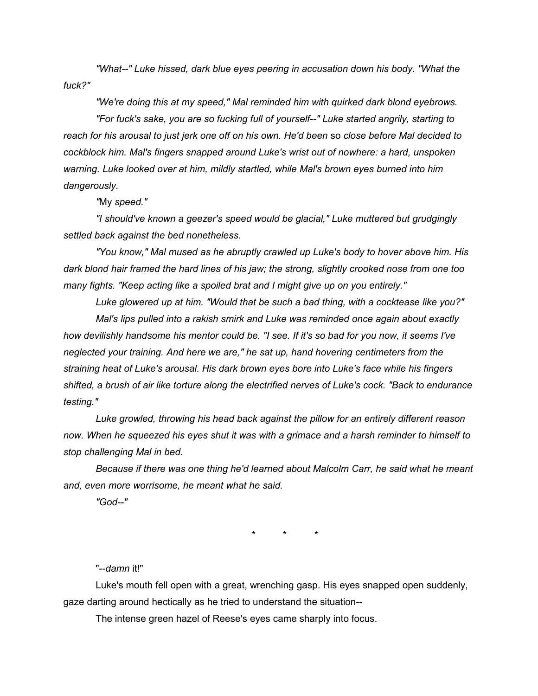*"What--" Luke hissed, dark blue eyes peering in accusation down his body. "What the fuck?"*

*"We're doing this at my speed," Mal reminded him with quirked dark blond eyebrows.* 

*"For fuck's sake, you are so fucking full of yourself--" Luke started angrily, starting to reach for his arousal to just jerk one off on his own. He'd been* so *close before Mal decided to cockblock him. Mal's fingers snapped around Luke's wrist out of nowhere: a hard, unspoken warning. Luke looked over at him, mildly startled, while Mal's brown eyes burned into him dangerously.*

*"*My *speed."*

*"I should've known a geezer's speed would be glacial," Luke muttered but grudgingly settled back against the bed nonetheless.* 

*"You know," Mal mused as he abruptly crawled up Luke's body to hover above him. His dark blond hair framed the hard lines of his jaw; the strong, slightly crooked nose from one too many fights. "Keep acting like a spoiled brat and I might give up on you entirely."*

*Luke glowered up at him. "Would that be such a bad thing, with a cocktease like you?"*

*Mal's lips pulled into a rakish smirk and Luke was reminded once again about exactly how devilishly handsome his mentor could be. "I see. If it's so bad for you now, it seems I've neglected your training. And here we are," he sat up, hand hovering centimeters from the straining heat of Luke's arousal. His dark brown eyes bore into Luke's face while his fingers shifted, a brush of air like torture along the electrified nerves of Luke's cock. "Back to endurance testing."*

*Luke growled, throwing his head back against the pillow for an entirely different reason now. When he squeezed his eyes shut it was with a grimace and a harsh reminder to himself to stop challenging Mal in bed.*

*Because if there was one thing he'd learned about Malcolm Carr, he said what he meant and, even more worrisome, he meant what he said.*

*"God--"*

\* \* \*

"--*damn* it!"

Luke's mouth fell open with a great, wrenching gasp. His eyes snapped open suddenly, gaze darting around hectically as he tried to understand the situation--

The intense green hazel of Reese's eyes came sharply into focus.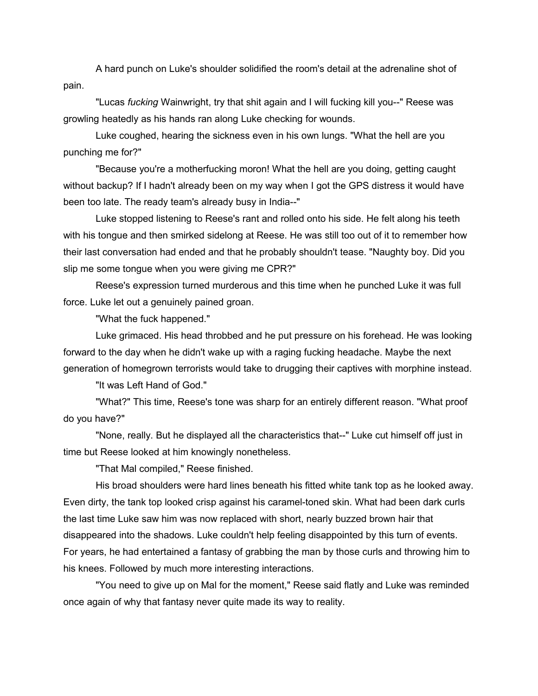A hard punch on Luke's shoulder solidified the room's detail at the adrenaline shot of pain.

"Lucas *fucking* Wainwright, try that shit again and I will fucking kill you--" Reese was growling heatedly as his hands ran along Luke checking for wounds.

Luke coughed, hearing the sickness even in his own lungs. "What the hell are you punching me for?"

"Because you're a motherfucking moron! What the hell are you doing, getting caught without backup? If I hadn't already been on my way when I got the GPS distress it would have been too late. The ready team's already busy in India--"

Luke stopped listening to Reese's rant and rolled onto his side. He felt along his teeth with his tongue and then smirked sidelong at Reese. He was still too out of it to remember how their last conversation had ended and that he probably shouldn't tease. "Naughty boy. Did you slip me some tongue when you were giving me CPR?"

Reese's expression turned murderous and this time when he punched Luke it was full force. Luke let out a genuinely pained groan.

"What the fuck happened."

Luke grimaced. His head throbbed and he put pressure on his forehead. He was looking forward to the day when he didn't wake up with a raging fucking headache. Maybe the next generation of homegrown terrorists would take to drugging their captives with morphine instead.

"It was Left Hand of God."

"What?" This time, Reese's tone was sharp for an entirely different reason. "What proof do you have?"

"None, really. But he displayed all the characteristics that--" Luke cut himself off just in time but Reese looked at him knowingly nonetheless.

"That Mal compiled," Reese finished.

His broad shoulders were hard lines beneath his fitted white tank top as he looked away. Even dirty, the tank top looked crisp against his caramel-toned skin. What had been dark curls the last time Luke saw him was now replaced with short, nearly buzzed brown hair that disappeared into the shadows. Luke couldn't help feeling disappointed by this turn of events. For years, he had entertained a fantasy of grabbing the man by those curls and throwing him to his knees. Followed by much more interesting interactions.

"You need to give up on Mal for the moment," Reese said flatly and Luke was reminded once again of why that fantasy never quite made its way to reality.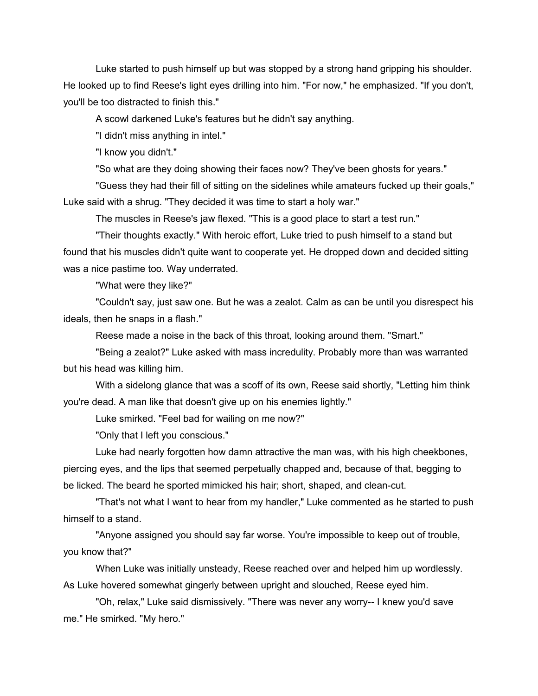Luke started to push himself up but was stopped by a strong hand gripping his shoulder. He looked up to find Reese's light eyes drilling into him. "For now," he emphasized. "If you don't, you'll be too distracted to finish this."

A scowl darkened Luke's features but he didn't say anything.

"I didn't miss anything in intel."

"I know you didn't."

"So what are they doing showing their faces now? They've been ghosts for years."

"Guess they had their fill of sitting on the sidelines while amateurs fucked up their goals," Luke said with a shrug. "They decided it was time to start a holy war."

The muscles in Reese's jaw flexed. "This is a good place to start a test run."

"Their thoughts exactly." With heroic effort, Luke tried to push himself to a stand but found that his muscles didn't quite want to cooperate yet. He dropped down and decided sitting was a nice pastime too. Way underrated.

"What were they like?"

"Couldn't say, just saw one. But he was a zealot. Calm as can be until you disrespect his ideals, then he snaps in a flash."

Reese made a noise in the back of this throat, looking around them. "Smart."

"Being a zealot?" Luke asked with mass incredulity. Probably more than was warranted but his head was killing him.

With a sidelong glance that was a scoff of its own, Reese said shortly, "Letting him think you're dead. A man like that doesn't give up on his enemies lightly."

Luke smirked. "Feel bad for wailing on me now?"

"Only that I left you conscious."

Luke had nearly forgotten how damn attractive the man was, with his high cheekbones, piercing eyes, and the lips that seemed perpetually chapped and, because of that, begging to be licked. The beard he sported mimicked his hair; short, shaped, and clean-cut.

"That's not what I want to hear from my handler," Luke commented as he started to push himself to a stand.

"Anyone assigned you should say far worse. You're impossible to keep out of trouble, you know that?"

When Luke was initially unsteady, Reese reached over and helped him up wordlessly. As Luke hovered somewhat gingerly between upright and slouched, Reese eyed him.

"Oh, relax," Luke said dismissively. "There was never any worry-- I knew you'd save me." He smirked. "My hero."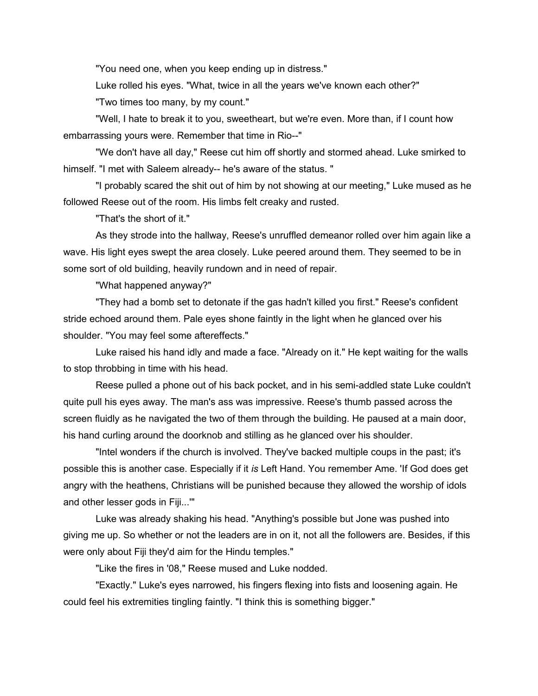"You need one, when you keep ending up in distress."

Luke rolled his eyes. "What, twice in all the years we've known each other?"

"Two times too many, by my count."

"Well, I hate to break it to you, sweetheart, but we're even. More than, if I count how embarrassing yours were. Remember that time in Rio--"

"We don't have all day," Reese cut him off shortly and stormed ahead. Luke smirked to himself. "I met with Saleem already-- he's aware of the status. "

"I probably scared the shit out of him by not showing at our meeting," Luke mused as he followed Reese out of the room. His limbs felt creaky and rusted.

"That's the short of it."

As they strode into the hallway, Reese's unruffled demeanor rolled over him again like a wave. His light eyes swept the area closely. Luke peered around them. They seemed to be in some sort of old building, heavily rundown and in need of repair.

"What happened anyway?"

"They had a bomb set to detonate if the gas hadn't killed you first." Reese's confident stride echoed around them. Pale eyes shone faintly in the light when he glanced over his shoulder. "You may feel some aftereffects."

Luke raised his hand idly and made a face. "Already on it." He kept waiting for the walls to stop throbbing in time with his head.

Reese pulled a phone out of his back pocket, and in his semi-addled state Luke couldn't quite pull his eyes away. The man's ass was impressive. Reese's thumb passed across the screen fluidly as he navigated the two of them through the building. He paused at a main door, his hand curling around the doorknob and stilling as he glanced over his shoulder.

"Intel wonders if the church is involved. They've backed multiple coups in the past; it's possible this is another case. Especially if it *is* Left Hand. You remember Ame. 'If God does get angry with the heathens, Christians will be punished because they allowed the worship of idols and other lesser gods in Fiji...'"

Luke was already shaking his head. "Anything's possible but Jone was pushed into giving me up. So whether or not the leaders are in on it, not all the followers are. Besides, if this were only about Fiji they'd aim for the Hindu temples."

"Like the fires in '08," Reese mused and Luke nodded.

"Exactly." Luke's eyes narrowed, his fingers flexing into fists and loosening again. He could feel his extremities tingling faintly. "I think this is something bigger."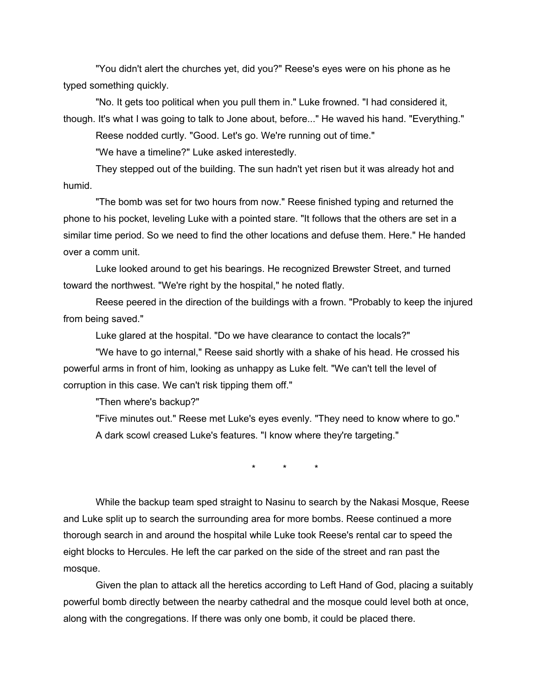"You didn't alert the churches yet, did you?" Reese's eyes were on his phone as he typed something quickly.

"No. It gets too political when you pull them in." Luke frowned. "I had considered it, though. It's what I was going to talk to Jone about, before..." He waved his hand. "Everything."

Reese nodded curtly. "Good. Let's go. We're running out of time."

"We have a timeline?" Luke asked interestedly.

They stepped out of the building. The sun hadn't yet risen but it was already hot and humid.

"The bomb was set for two hours from now." Reese finished typing and returned the phone to his pocket, leveling Luke with a pointed stare. "It follows that the others are set in a similar time period. So we need to find the other locations and defuse them. Here." He handed over a comm unit.

Luke looked around to get his bearings. He recognized Brewster Street, and turned toward the northwest. "We're right by the hospital," he noted flatly.

Reese peered in the direction of the buildings with a frown. "Probably to keep the injured from being saved."

Luke glared at the hospital. "Do we have clearance to contact the locals?"

"We have to go internal," Reese said shortly with a shake of his head. He crossed his powerful arms in front of him, looking as unhappy as Luke felt. "We can't tell the level of corruption in this case. We can't risk tipping them off."

"Then where's backup?"

"Five minutes out." Reese met Luke's eyes evenly. "They need to know where to go." A dark scowl creased Luke's features. "I know where they're targeting."

\* \* \*

While the backup team sped straight to Nasinu to search by the Nakasi Mosque, Reese and Luke split up to search the surrounding area for more bombs. Reese continued a more thorough search in and around the hospital while Luke took Reese's rental car to speed the eight blocks to Hercules. He left the car parked on the side of the street and ran past the mosque.

Given the plan to attack all the heretics according to Left Hand of God, placing a suitably powerful bomb directly between the nearby cathedral and the mosque could level both at once, along with the congregations. If there was only one bomb, it could be placed there.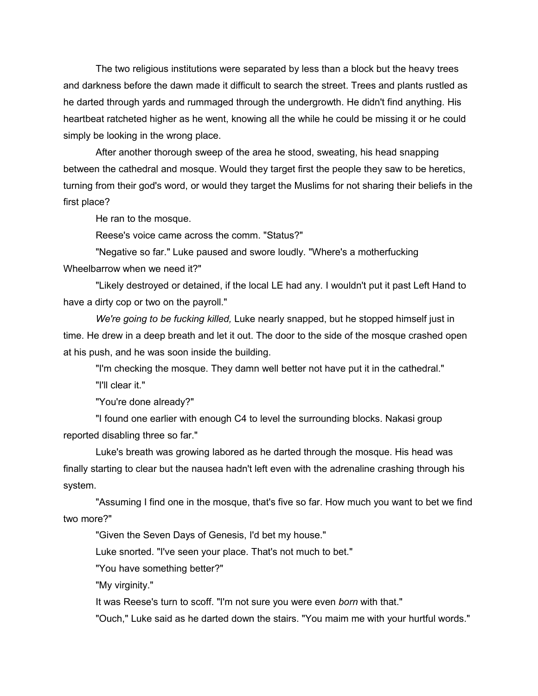The two religious institutions were separated by less than a block but the heavy trees and darkness before the dawn made it difficult to search the street. Trees and plants rustled as he darted through yards and rummaged through the undergrowth. He didn't find anything. His heartbeat ratcheted higher as he went, knowing all the while he could be missing it or he could simply be looking in the wrong place.

After another thorough sweep of the area he stood, sweating, his head snapping between the cathedral and mosque. Would they target first the people they saw to be heretics, turning from their god's word, or would they target the Muslims for not sharing their beliefs in the first place?

He ran to the mosque.

Reese's voice came across the comm. "Status?"

"Negative so far." Luke paused and swore loudly. "Where's a motherfucking Wheelbarrow when we need it?"

"Likely destroyed or detained, if the local LE had any. I wouldn't put it past Left Hand to have a dirty cop or two on the payroll."

*We're going to be fucking killed,* Luke nearly snapped, but he stopped himself just in time. He drew in a deep breath and let it out. The door to the side of the mosque crashed open at his push, and he was soon inside the building.

"I'm checking the mosque. They damn well better not have put it in the cathedral." "I'll clear it."

"You're done already?"

"I found one earlier with enough C4 to level the surrounding blocks. Nakasi group reported disabling three so far."

Luke's breath was growing labored as he darted through the mosque. His head was finally starting to clear but the nausea hadn't left even with the adrenaline crashing through his system.

"Assuming I find one in the mosque, that's five so far. How much you want to bet we find two more?"

"Given the Seven Days of Genesis, I'd bet my house."

Luke snorted. "I've seen your place. That's not much to bet."

"You have something better?"

"My virginity."

It was Reese's turn to scoff. "I'm not sure you were even *born* with that."

"Ouch," Luke said as he darted down the stairs. "You maim me with your hurtful words."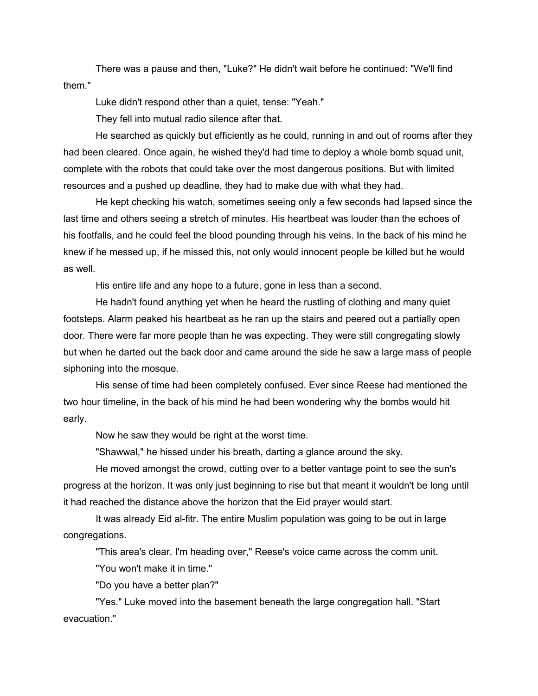There was a pause and then, "Luke?" He didn't wait before he continued: "We'll find them."

Luke didn't respond other than a quiet, tense: "Yeah."

They fell into mutual radio silence after that.

He searched as quickly but efficiently as he could, running in and out of rooms after they had been cleared. Once again, he wished they'd had time to deploy a whole bomb squad unit, complete with the robots that could take over the most dangerous positions. But with limited resources and a pushed up deadline, they had to make due with what they had.

He kept checking his watch, sometimes seeing only a few seconds had lapsed since the last time and others seeing a stretch of minutes. His heartbeat was louder than the echoes of his footfalls, and he could feel the blood pounding through his veins. In the back of his mind he knew if he messed up, if he missed this, not only would innocent people be killed but he would as well.

His entire life and any hope to a future, gone in less than a second.

He hadn't found anything yet when he heard the rustling of clothing and many quiet footsteps. Alarm peaked his heartbeat as he ran up the stairs and peered out a partially open door. There were far more people than he was expecting. They were still congregating slowly but when he darted out the back door and came around the side he saw a large mass of people siphoning into the mosque.

His sense of time had been completely confused. Ever since Reese had mentioned the two hour timeline, in the back of his mind he had been wondering why the bombs would hit early.

Now he saw they would be right at the worst time.

"Shawwal," he hissed under his breath, darting a glance around the sky.

He moved amongst the crowd, cutting over to a better vantage point to see the sun's progress at the horizon. It was only just beginning to rise but that meant it wouldn't be long until it had reached the distance above the horizon that the Eid prayer would start.

It was already Eid al-fitr. The entire Muslim population was going to be out in large congregations.

"This area's clear. I'm heading over," Reese's voice came across the comm unit. "You won't make it in time."

"Do you have a better plan?"

"Yes." Luke moved into the basement beneath the large congregation hall. "Start evacuation."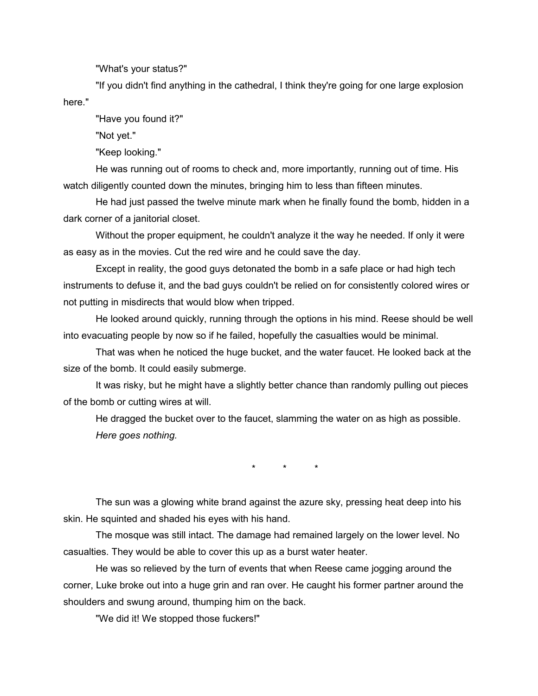"What's your status?"

"If you didn't find anything in the cathedral, I think they're going for one large explosion here."

"Have you found it?"

"Not yet."

"Keep looking."

He was running out of rooms to check and, more importantly, running out of time. His watch diligently counted down the minutes, bringing him to less than fifteen minutes.

He had just passed the twelve minute mark when he finally found the bomb, hidden in a dark corner of a janitorial closet.

Without the proper equipment, he couldn't analyze it the way he needed. If only it were as easy as in the movies. Cut the red wire and he could save the day.

Except in reality, the good guys detonated the bomb in a safe place or had high tech instruments to defuse it, and the bad guys couldn't be relied on for consistently colored wires or not putting in misdirects that would blow when tripped.

He looked around quickly, running through the options in his mind. Reese should be well into evacuating people by now so if he failed, hopefully the casualties would be minimal.

That was when he noticed the huge bucket, and the water faucet. He looked back at the size of the bomb. It could easily submerge.

It was risky, but he might have a slightly better chance than randomly pulling out pieces of the bomb or cutting wires at will.

He dragged the bucket over to the faucet, slamming the water on as high as possible. *Here goes nothing.*

\* \* \*

The sun was a glowing white brand against the azure sky, pressing heat deep into his skin. He squinted and shaded his eyes with his hand.

The mosque was still intact. The damage had remained largely on the lower level. No casualties. They would be able to cover this up as a burst water heater.

He was so relieved by the turn of events that when Reese came jogging around the corner, Luke broke out into a huge grin and ran over. He caught his former partner around the shoulders and swung around, thumping him on the back.

"We did it! We stopped those fuckers!"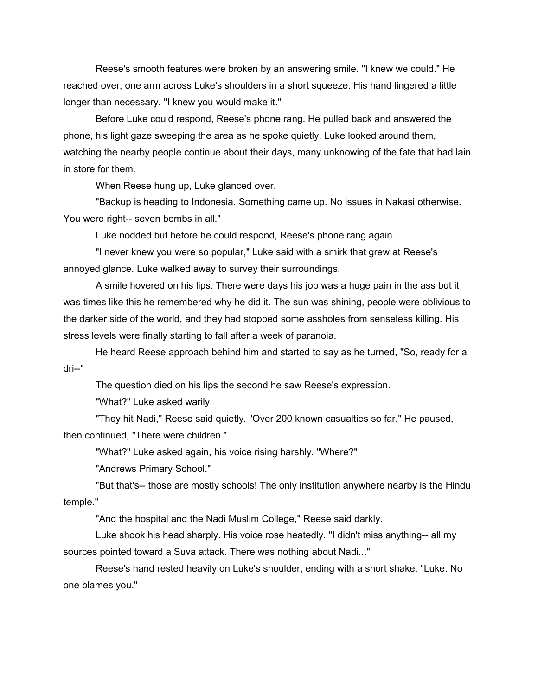Reese's smooth features were broken by an answering smile. "I knew we could." He reached over, one arm across Luke's shoulders in a short squeeze. His hand lingered a little longer than necessary. "I knew you would make it."

Before Luke could respond, Reese's phone rang. He pulled back and answered the phone, his light gaze sweeping the area as he spoke quietly. Luke looked around them, watching the nearby people continue about their days, many unknowing of the fate that had lain in store for them.

When Reese hung up, Luke glanced over.

"Backup is heading to Indonesia. Something came up. No issues in Nakasi otherwise. You were right-- seven bombs in all."

Luke nodded but before he could respond, Reese's phone rang again.

"I never knew you were so popular," Luke said with a smirk that grew at Reese's annoyed glance. Luke walked away to survey their surroundings.

A smile hovered on his lips. There were days his job was a huge pain in the ass but it was times like this he remembered why he did it. The sun was shining, people were oblivious to the darker side of the world, and they had stopped some assholes from senseless killing. His stress levels were finally starting to fall after a week of paranoia.

He heard Reese approach behind him and started to say as he turned, "So, ready for a dri--"

The question died on his lips the second he saw Reese's expression.

"What?" Luke asked warily.

"They hit Nadi," Reese said quietly. "Over 200 known casualties so far." He paused, then continued, "There were children."

"What?" Luke asked again, his voice rising harshly. "Where?"

"Andrews Primary School."

"But that's-- those are mostly schools! The only institution anywhere nearby is the Hindu temple."

"And the hospital and the Nadi Muslim College," Reese said darkly.

Luke shook his head sharply. His voice rose heatedly. "I didn't miss anything-- all my sources pointed toward a Suva attack. There was nothing about Nadi..."

Reese's hand rested heavily on Luke's shoulder, ending with a short shake. "Luke. No one blames you."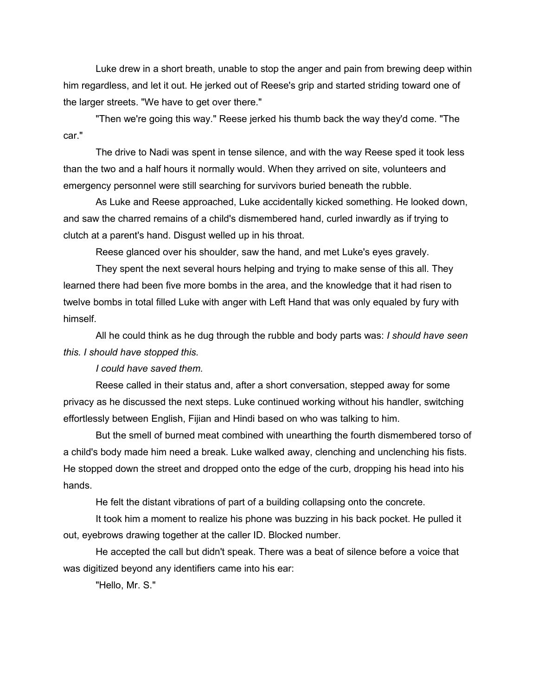Luke drew in a short breath, unable to stop the anger and pain from brewing deep within him regardless, and let it out. He jerked out of Reese's grip and started striding toward one of the larger streets. "We have to get over there."

"Then we're going this way." Reese jerked his thumb back the way they'd come. "The car."

The drive to Nadi was spent in tense silence, and with the way Reese sped it took less than the two and a half hours it normally would. When they arrived on site, volunteers and emergency personnel were still searching for survivors buried beneath the rubble.

As Luke and Reese approached, Luke accidentally kicked something. He looked down, and saw the charred remains of a child's dismembered hand, curled inwardly as if trying to clutch at a parent's hand. Disgust welled up in his throat.

Reese glanced over his shoulder, saw the hand, and met Luke's eyes gravely.

They spent the next several hours helping and trying to make sense of this all. They learned there had been five more bombs in the area, and the knowledge that it had risen to twelve bombs in total filled Luke with anger with Left Hand that was only equaled by fury with himself.

All he could think as he dug through the rubble and body parts was: *I should have seen this. I should have stopped this.*

*I could have saved them.*

Reese called in their status and, after a short conversation, stepped away for some privacy as he discussed the next steps. Luke continued working without his handler, switching effortlessly between English, Fijian and Hindi based on who was talking to him.

But the smell of burned meat combined with unearthing the fourth dismembered torso of a child's body made him need a break. Luke walked away, clenching and unclenching his fists. He stopped down the street and dropped onto the edge of the curb, dropping his head into his hands.

He felt the distant vibrations of part of a building collapsing onto the concrete.

It took him a moment to realize his phone was buzzing in his back pocket. He pulled it out, eyebrows drawing together at the caller ID. Blocked number.

He accepted the call but didn't speak. There was a beat of silence before a voice that was digitized beyond any identifiers came into his ear:

"Hello, Mr. S."